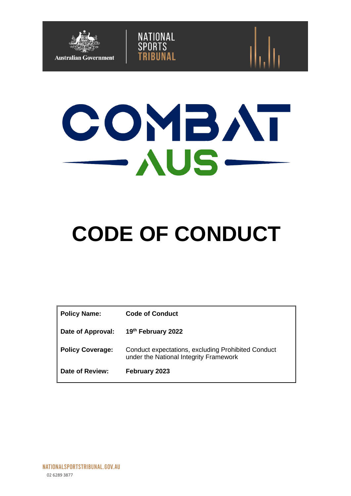



NATIONAL<br>SPORTS

# **CODE OF CONDUCT**

| <b>Policy Name:</b>     | <b>Code of Conduct</b>                                                                       |
|-------------------------|----------------------------------------------------------------------------------------------|
| Date of Approval:       | 19th February 2022                                                                           |
| <b>Policy Coverage:</b> | Conduct expectations, excluding Prohibited Conduct<br>under the National Integrity Framework |
| Date of Review:         | February 2023                                                                                |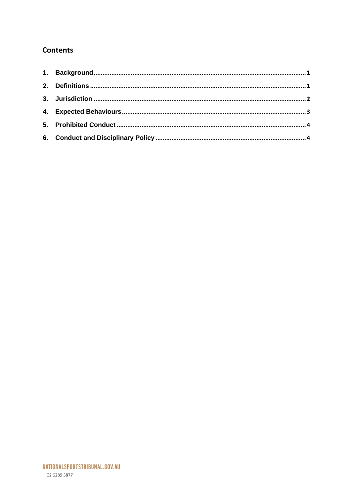# **Contents**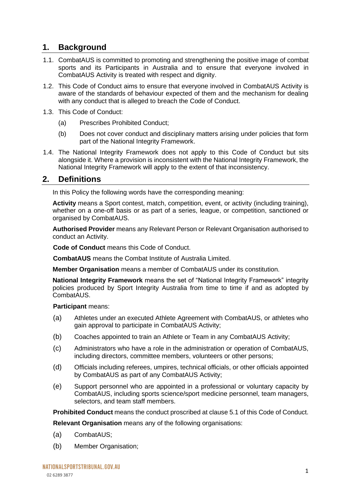# <span id="page-2-0"></span>**1. Background**

- 1.1. CombatAUS is committed to promoting and strengthening the positive image of combat sports and its Participants in Australia and to ensure that everyone involved in CombatAUS Activity is treated with respect and dignity.
- 1.2. This Code of Conduct aims to ensure that everyone involved in CombatAUS Activity is aware of the standards of behaviour expected of them and the mechanism for dealing with any conduct that is alleged to breach the Code of Conduct.
- 1.3. This Code of Conduct:
	- (a) Prescribes Prohibited Conduct;
	- (b) Does not cover conduct and disciplinary matters arising under policies that form part of the National Integrity Framework.
- 1.4. The National Integrity Framework does not apply to this Code of Conduct but sits alongside it. Where a provision is inconsistent with the National Integrity Framework, the National Integrity Framework will apply to the extent of that inconsistency.

## <span id="page-2-1"></span>**2. Definitions**

In this Policy the following words have the corresponding meaning:

**Activity** means a Sport contest, match, competition, event, or activity (including training), whether on a one-off basis or as part of a series, league, or competition, sanctioned or organised by CombatAUS.

**Authorised Provider** means any Relevant Person or Relevant Organisation authorised to conduct an Activity.

**Code of Conduct** means this Code of Conduct.

**CombatAUS** means the Combat Institute of Australia Limited.

**Member Organisation** means a member of CombatAUS under its constitution.

**National Integrity Framework** means the set of "National Integrity Framework" integrity policies produced by Sport Integrity Australia from time to time if and as adopted by CombatAUS.

**Participant** means:

- (a) Athletes under an executed Athlete Agreement with CombatAUS, or athletes who gain approval to participate in CombatAUS Activity;
- (b) Coaches appointed to train an Athlete or Team in any CombatAUS Activity;
- (c) Administrators who have a role in the administration or operation of CombatAUS, including directors, committee members, volunteers or other persons;
- (d) Officials including referees, umpires, technical officials, or other officials appointed by CombatAUS as part of any CombatAUS Activity;
- (e) Support personnel who are appointed in a professional or voluntary capacity by CombatAUS, including sports science/sport medicine personnel, team managers, selectors, and team staff members.

**Prohibited Conduct** means the conduct proscribed at clause 5.1 of this Code of Conduct.

**Relevant Organisation** means any of the following organisations:

- (a) CombatAUS;
- (b) Member Organisation;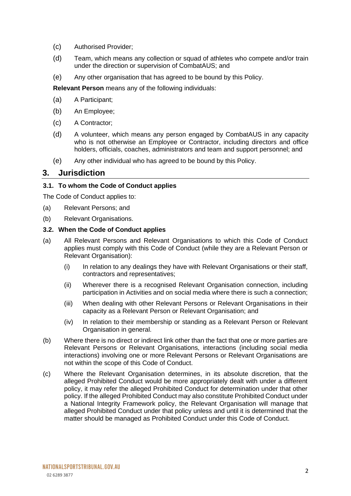- (c) Authorised Provider;
- (d) Team, which means any collection or squad of athletes who compete and/or train under the direction or supervision of CombatAUS; and
- (e) Any other organisation that has agreed to be bound by this Policy.

**Relevant Person** means any of the following individuals:

- (a) A Participant;
- (b) An Employee;
- (c) A Contractor;
- (d) A volunteer, which means any person engaged by CombatAUS in any capacity who is not otherwise an Employee or Contractor, including directors and office holders, officials, coaches, administrators and team and support personnel; and
- (e) Any other individual who has agreed to be bound by this Policy.

## <span id="page-3-0"></span>**3. Jurisdiction**

#### **3.1. To whom the Code of Conduct applies**

The Code of Conduct applies to:

- (a) Relevant Persons; and
- (b) Relevant Organisations.

#### **3.2. When the Code of Conduct applies**

- (a) All Relevant Persons and Relevant Organisations to which this Code of Conduct applies must comply with this Code of Conduct (while they are a Relevant Person or Relevant Organisation):
	- (i) In relation to any dealings they have with Relevant Organisations or their staff, contractors and representatives;
	- (ii) Wherever there is a recognised Relevant Organisation connection, including participation in Activities and on social media where there is such a connection;
	- (iii) When dealing with other Relevant Persons or Relevant Organisations in their capacity as a Relevant Person or Relevant Organisation; and
	- (iv) In relation to their membership or standing as a Relevant Person or Relevant Organisation in general.
- (b) Where there is no direct or indirect link other than the fact that one or more parties are Relevant Persons or Relevant Organisations, interactions (including social media interactions) involving one or more Relevant Persons or Relevant Organisations are not within the scope of this Code of Conduct.
- (c) Where the Relevant Organisation determines, in its absolute discretion, that the alleged Prohibited Conduct would be more appropriately dealt with under a different policy, it may refer the alleged Prohibited Conduct for determination under that other policy. If the alleged Prohibited Conduct may also constitute Prohibited Conduct under a National Integrity Framework policy, the Relevant Organisation will manage that alleged Prohibited Conduct under that policy unless and until it is determined that the matter should be managed as Prohibited Conduct under this Code of Conduct.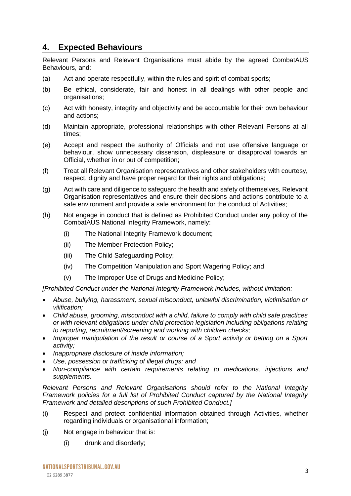## <span id="page-4-0"></span>**4. Expected Behaviours**

Relevant Persons and Relevant Organisations must abide by the agreed CombatAUS Behaviours, and:

- (a) Act and operate respectfully, within the rules and spirit of combat sports;
- (b) Be ethical, considerate, fair and honest in all dealings with other people and organisations;
- (c) Act with honesty, integrity and objectivity and be accountable for their own behaviour and actions;
- (d) Maintain appropriate, professional relationships with other Relevant Persons at all times;
- (e) Accept and respect the authority of Officials and not use offensive language or behaviour, show unnecessary dissension, displeasure or disapproval towards an Official, whether in or out of competition;
- (f) Treat all Relevant Organisation representatives and other stakeholders with courtesy, respect, dignity and have proper regard for their rights and obligations;
- (g) Act with care and diligence to safeguard the health and safety of themselves, Relevant Organisation representatives and ensure their decisions and actions contribute to a safe environment and provide a safe environment for the conduct of Activities;
- (h) Not engage in conduct that is defined as Prohibited Conduct under any policy of the CombatAUS National Integrity Framework, namely:
	- (i) The National Integrity Framework document;
	- (ii) The Member Protection Policy;
	- (iii) The Child Safeguarding Policy;
	- (iv) The Competition Manipulation and Sport Wagering Policy; and
	- (v) The Improper Use of Drugs and Medicine Policy;

*[Prohibited Conduct under the National Integrity Framework includes, without limitation:*

- *Abuse, bullying, harassment, sexual misconduct, unlawful discrimination, victimisation or vilification;*
- *Child abuse, grooming, misconduct with a child, failure to comply with child safe practices or with relevant obligations under child protection legislation including obligations relating to reporting, recruitment/screening and working with children checks;*
- *Improper manipulation of the result or course of a Sport activity or betting on a Sport activity;*
- *Inappropriate disclosure of inside information;*
- *Use, possession or trafficking of illegal drugs; and*
- *Non-compliance with certain requirements relating to medications, injections and supplements.*

*Relevant Persons and Relevant Organisations should refer to the National Integrity Framework policies for a full list of Prohibited Conduct captured by the National Integrity Framework and detailed descriptions of such Prohibited Conduct.]*

- (i) Respect and protect confidential information obtained through Activities, whether regarding individuals or organisational information;
- (j) Not engage in behaviour that is:
	- (i) drunk and disorderly;